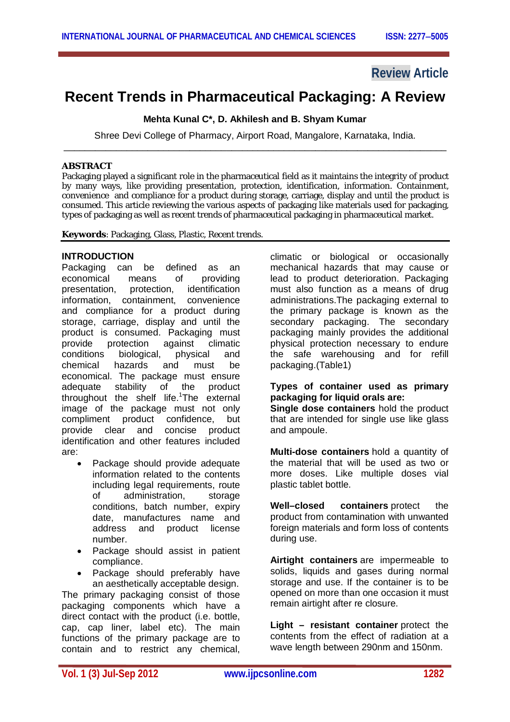# **Review Article**

# **Recent Trends in Pharmaceutical Packaging: A Review**

**Mehta Kunal C\*, D. Akhilesh and B. Shyam Kumar**

Shree Devi College of Pharmacy, Airport Road, Mangalore, Karnataka, India. \_\_\_\_\_\_\_\_\_\_\_\_\_\_\_\_\_\_\_\_\_\_\_\_\_\_\_\_\_\_\_\_\_\_\_\_\_\_\_\_\_\_\_\_\_\_\_\_\_\_\_\_\_\_\_\_\_\_\_\_\_\_\_\_\_\_\_\_\_\_\_\_\_

## **ABSTRACT**

Packaging played a significant role in the pharmaceutical field as it maintains the integrity of product by many ways, like providing presentation, protection, identification, information. Containment, convenience and compliance for a product during storage, carriage, display and until the product is consumed. This article reviewing the various aspects of packaging like materials used for packaging, types of packaging as well as recent trends of pharmaceutical packaging in pharmaceutical market.

**Keywords**: Packaging, Glass, Plastic, Recent trends.

## **INTRODUCTION**

Packaging can be defined as an economical means of providing presentation, protection, identification information, containment, convenience and compliance for a product during storage, carriage, display and until the product is consumed. Packaging must provide protection against climatic<br>conditions biological, physical and biological, physical and chemical hazards and must be economical. The package must ensure adequate stability of the product throughout the shelf life.<sup>1</sup>The external image of the package must not only compliment product confidence, but provide clear and concise product identification and other features included are:

- Package should provide adequate information related to the contents including legal requirements, route of administration, storage conditions, batch number, expiry date, manufactures name and address and product license number.
- Package should assist in patient compliance.
- Package should preferably have an aesthetically acceptable design.

The primary packaging consist of those packaging components which have a direct contact with the product (i.e. bottle, cap, cap liner, label etc). The main functions of the primary package are to contain and to restrict any chemical, climatic or biological or occasionally mechanical hazards that may cause or lead to product deterioration. Packaging must also function as a means of drug administrations.The packaging external to the primary package is known as the secondary packaging. The secondary packaging mainly provides the additional physical protection necessary to endure the safe warehousing and for refill packaging.(Table1)

## **Types of container used as primary packaging for liquid orals are:**

**Single dose containers** hold the product that are intended for single use like glass and ampoule.

**Multi-dose containers** hold a quantity of the material that will be used as two or more doses. Like multiple doses vial plastic tablet bottle.

**Well–closed containers** protect the product from contamination with unwanted foreign materials and form loss of contents during use.

**Airtight containers** are impermeable to solids, liquids and gases during normal storage and use. If the container is to be opened on more than one occasion it must remain airtight after re closure.

**Light – resistant container** protect the contents from the effect of radiation at a wave length between 290nm and 150nm.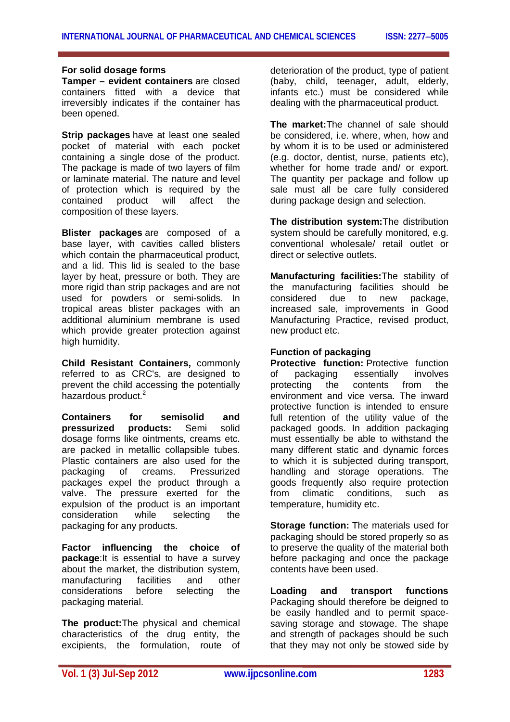#### **For solid dosage forms**

**Tamper – evident containers** are closed containers fitted with a device that irreversibly indicates if the container has been opened.

**Strip packages** have at least one sealed pocket of material with each pocket containing a single dose of the product. The package is made of two layers of film or laminate material. The nature and level of protection which is required by the contained product will affect the composition of these layers.

**Blister packages** are composed of a base layer, with cavities called blisters which contain the pharmaceutical product. and a lid. This lid is sealed to the base layer by heat, pressure or both. They are more rigid than strip packages and are not used for powders or semi-solids. In tropical areas blister packages with an additional aluminium membrane is used which provide greater protection against high humidity.

**Child Resistant Containers,** commonly referred to as CRC's, are designed to prevent the child accessing the potentially hazardous product.<sup>2</sup>

**Containers for semisolid and pressurized products:** Semi solid dosage forms like ointments, creams etc. are packed in metallic collapsible tubes. Plastic containers are also used for the packaging of creams. Pressurized packages expel the product through a valve. The pressure exerted for the expulsion of the product is an important consideration while selecting the packaging for any products.

**Factor influencing the choice of package**:It is essential to have a survey about the market, the distribution system, manufacturing facilities and other considerations before selecting the packaging material.

**The product:**The physical and chemical characteristics of the drug entity, the excipients, the formulation, route of

deterioration of the product, type of patient (baby, child, teenager, adult, elderly, infants etc.) must be considered while dealing with the pharmaceutical product.

**The market:**The channel of sale should be considered, i.e. where, when, how and by whom it is to be used or administered (e.g. doctor, dentist, nurse, patients etc), whether for home trade and/ or export. The quantity per package and follow up sale must all be care fully considered during package design and selection.

**The distribution system:**The distribution system should be carefully monitored, e.g. conventional wholesale/ retail outlet or direct or selective outlets.

**Manufacturing facilities:**The stability of the manufacturing facilities should be considered due to new package, increased sale, improvements in Good Manufacturing Practice, revised product, new product etc.

## **Function of packaging**

**Protective function:** Protective function of packaging essentially involves<br>protecting the contents from the protecting the contents from the environment and vice versa. The inward protective function is intended to ensure full retention of the utility value of the packaged goods. In addition packaging must essentially be able to withstand the many different static and dynamic forces to which it is subjected during transport, handling and storage operations. The goods frequently also require protection from climatic conditions, such as temperature, humidity etc.

**Storage function:** The materials used for packaging should be stored properly so as to preserve the quality of the material both before packaging and once the package contents have been used.

**Loading and transport functions** Packaging should therefore be deigned to be easily handled and to permit spacesaving storage and stowage. The shape and strength of packages should be such that they may not only be stowed side by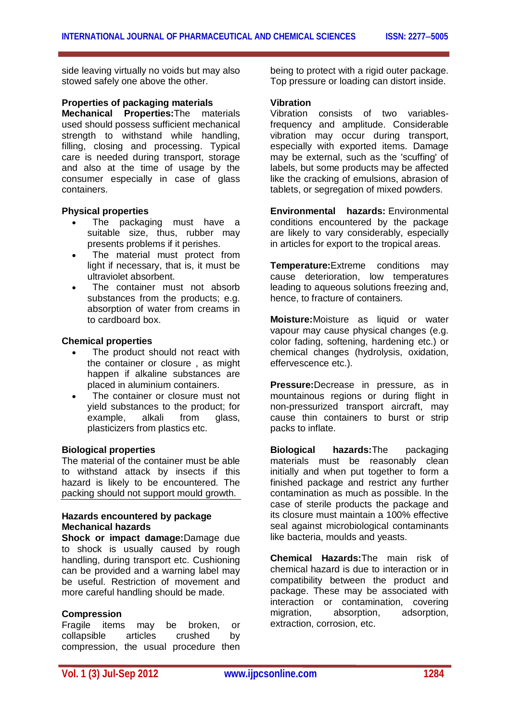side leaving virtually no voids but may also stowed safely one above the other.

#### **Properties of packaging materials**

**Mechanical Properties:**The materials used should possess sufficient mechanical strength to withstand while handling, filling, closing and processing. Typical care is needed during transport, storage and also at the time of usage by the consumer especially in case of glass containers.

#### **Physical properties**

- The packaging must have a suitable size, thus, rubber may presents problems if it perishes.
- The material must protect from light if necessary, that is, it must be ultraviolet absorbent.
- The container must not absorb substances from the products; e.g. absorption of water from creams in to cardboard box.

## **Chemical properties**

- The product should not react with the container or closure , as might happen if alkaline substances are placed in aluminium containers.
- The container or closure must not yield substances to the product; for example, alkali from glass, plasticizers from plastics etc.

#### **Biological properties**

The material of the container must be able to withstand attack by insects if this hazard is likely to be encountered. The packing should not support mould growth.

## **Hazards encountered by package Mechanical hazards**

**Shock or impact damage:**Damage due to shock is usually caused by rough handling, during transport etc. Cushioning can be provided and a warning label may be useful. Restriction of movement and more careful handling should be made.

#### **Compression**

Fragile items may be broken, or collapsible articles crushed by compression, the usual procedure then being to protect with a rigid outer package. Top pressure or loading can distort inside.

#### **Vibration**

Vibration consists of two variablesfrequency and amplitude. Considerable vibration may occur during transport, especially with exported items. Damage may be external, such as the 'scuffing' of labels, but some products may be affected like the cracking of emulsions, abrasion of tablets, or segregation of mixed powders.

**Environmental hazards:** Environmental conditions encountered by the package are likely to vary considerably, especially in articles for export to the tropical areas.

**Temperature:**Extreme conditions may cause deterioration, low temperatures leading to aqueous solutions freezing and, hence, to fracture of containers.

**Moisture:**Moisture as liquid or water vapour may cause physical changes (e.g. color fading, softening, hardening etc.) or chemical changes (hydrolysis, oxidation, effervescence etc.).

**Pressure:**Decrease in pressure, as in mountainous regions or during flight in non-pressurized transport aircraft, may cause thin containers to burst or strip packs to inflate.

**Biological hazards:**The packaging materials must be reasonably clean initially and when put together to form a finished package and restrict any further contamination as much as possible. In the case of sterile products the package and its closure must maintain a 100% effective seal against microbiological contaminants like bacteria, moulds and yeasts.

**Chemical Hazards:**The main risk of chemical hazard is due to interaction or in compatibility between the product and package. These may be associated with interaction or contamination, covering migration, absorption, adsorption, extraction, corrosion, etc.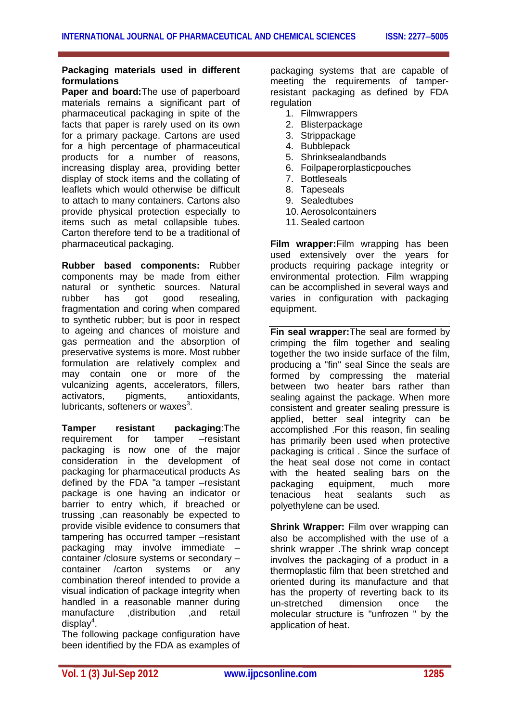#### **Packaging materials used in different formulations**

**Paper and board:**The use of paperboard materials remains a significant part of pharmaceutical packaging in spite of the facts that paper is rarely used on its own for a primary package. Cartons are used for a high percentage of pharmaceutical products for a number of reasons, increasing display area, providing better display of stock items and the collating of leaflets which would otherwise be difficult to attach to many containers. Cartons also provide physical protection especially to items such as metal collapsible tubes. Carton therefore tend to be a traditional of pharmaceutical packaging.

**Rubber based components:** Rubber components may be made from either natural or synthetic sources. Natural rubber has got good resealing. fragmentation and coring when compared to synthetic rubber; but is poor in respect to ageing and chances of moisture and gas permeation and the absorption of preservative systems is more. Most rubber formulation are relatively complex and may contain one or more of the vulcanizing agents, accelerators, fillers, activators, pigments, antioxidants, lubricants, softeners or waxes<sup>3</sup>.

**Tamper resistant packaging**:The requirement for tamper –resistant packaging is now one of the major consideration in the development of packaging for pharmaceutical products As defined by the FDA "a tamper –resistant package is one having an indicator or barrier to entry which, if breached or trussing ,can reasonably be expected to provide visible evidence to consumers that tampering has occurred tamper –resistant packaging may involve immediate – container /closure systems or secondary – container /carton systems or any combination thereof intended to provide a visual indication of package integrity when handled in a reasonable manner during manufacture ,distribution ,and retail display<sup>4</sup>.

The following package configuration have been identified by the FDA as examples of packaging systems that are capable of meeting the requirements of tamperresistant packaging as defined by FDA regulation

- 1. Filmwrappers
- 2. Blisterpackage
- 3. Strippackage
- 4. Bubblepack
- 5. Shrinksealandbands
- 6. Foilpaperorplasticpouches
- 7. Bottleseals
- 8. Tapeseals
- 9. Sealedtubes
- 10. Aerosolcontainers
- 11. Sealed cartoon

**Film wrapper:**Film wrapping has been used extensively over the years for products requiring package integrity or environmental protection. Film wrapping can be accomplished in several ways and varies in configuration with packaging equipment.

**Fin seal wrapper:**The seal are formed by crimping the film together and sealing together the two inside surface of the film, producing a "fin" seal Since the seals are formed by compressing the material between two heater bars rather than sealing against the package. When more consistent and greater sealing pressure is applied, better seal integrity can be accomplished .For this reason, fin sealing has primarily been used when protective packaging is critical . Since the surface of the heat seal dose not come in contact with the heated sealing bars on the packaging equipment, much more tenacious heat sealants such as polyethylene can be used.

**Shrink Wrapper:** Film over wrapping can also be accomplished with the use of a shrink wrapper .The shrink wrap concept involves the packaging of a product in a thermoplastic film that been stretched and oriented during its manufacture and that has the property of reverting back to its<br>un-stretched dimension once the un-stretched dimension once the molecular structure is "unfrozen " by the application of heat.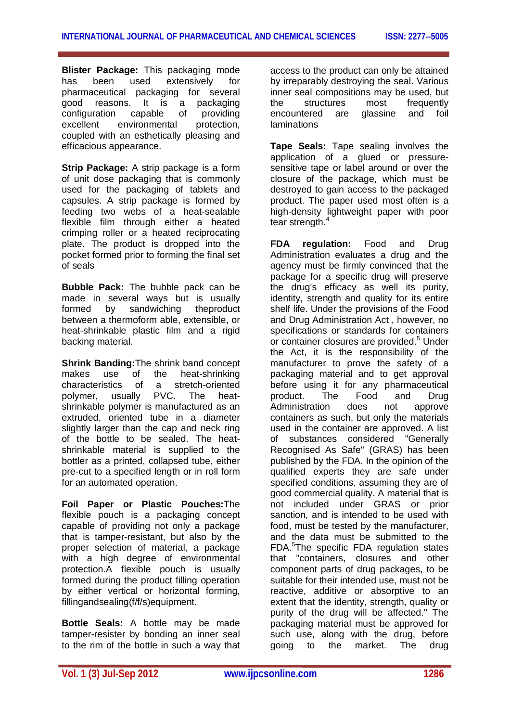**Blister Package:** This packaging mode has been used extensively for pharmaceutical packaging for several good reasons. It is a packaging configuration capable of providing excellent environmental protection, coupled with an esthetically pleasing and efficacious appearance.

**Strip Package:** A strip package is a form of unit dose packaging that is commonly used for the packaging of tablets and capsules. A strip package is formed by feeding two webs of a heat-sealable flexible film through either a heated crimping roller or a heated reciprocating plate. The product is dropped into the pocket formed prior to forming the final set of seals

**Bubble Pack:** The bubble pack can be made in several ways but is usually formed by sandwiching theproduct between a thermoform able, extensible, or heat-shrinkable plastic film and a rigid backing material.

**Shrink Banding:**The shrink band concept makes use of the heat-shrinking characteristics of a stretch-oriented<br>polymer. usually PVC. The heatpolymer, usually PVC. The heatshrinkable polymer is manufactured as an extruded, oriented tube in a diameter slightly larger than the cap and neck ring of the bottle to be sealed. The heatshrinkable material is supplied to the bottler as a printed, collapsed tube, either pre-cut to a specified length or in roll form for an automated operation.

**Foil Paper or Plastic Pouches:**The flexible pouch is a packaging concept capable of providing not only a package that is tamper-resistant, but also by the proper selection of material, a package with a high degree of environmental protection.A flexible pouch is usually formed during the product filling operation by either vertical or horizontal forming, fillingandsealing(f/f/s)equipment.

**Bottle Seals:** A bottle may be made tamper-resister by bonding an inner seal to the rim of the bottle in such a way that

access to the product can only be attained by irreparably destroying the seal. Various inner seal compositions may be used, but the structures most frequently encountered are glassine and foil laminations

**Tape Seals:** Tape sealing involves the application of a glued or pressuresensitive tape or label around or over the closure of the package, which must be destroyed to gain access to the packaged product. The paper used most often is a high-density lightweight paper with poor tear strength.<sup>4</sup>

**FDA regulation:** Food and Drug Administration evaluates a drug and the agency must be firmly convinced that the package for a specific drug will preserve the drug's efficacy as well its purity, identity, strength and quality for its entire shelf life. Under the provisions of the Food and Drug Administration Act , however, no specifications or standards for containers or container closures are provided.<sup>5</sup> Under the Act, it is the responsibility of the manufacturer to prove the safety of a packaging material and to get approval before using it for any pharmaceutical product. The Food and Drug Administration does not approve containers as such, but only the materials used in the container are approved. A list of substances considered "Generally Recognised As Safe" (GRAS) has been published by the FDA. In the opinion of the qualified experts they are safe under specified conditions, assuming they are of good commercial quality. A material that is not included under GRAS or prior sanction, and is intended to be used with food, must be tested by the manufacturer, and the data must be submitted to the FDA.<sup>5</sup>The specific FDA regulation states that "containers, closures and other component parts of drug packages, to be suitable for their intended use, must not be reactive, additive or absorptive to an extent that the identity, strength, quality or purity of the drug will be affected." The packaging material must be approved for such use, along with the drug, before going to the market. The drug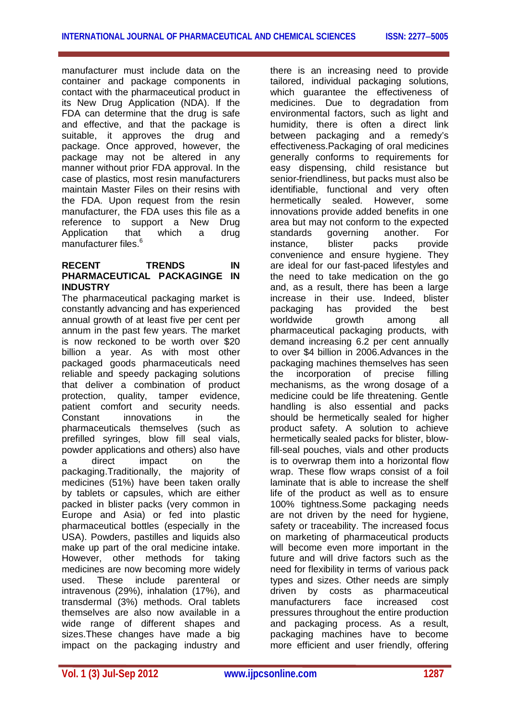manufacturer must include data on the container and package components in contact with the pharmaceutical product in its New Drug Application (NDA). If the FDA can determine that the drug is safe and effective, and that the package is suitable, it approves the drug and package. Once approved, however, the package may not be altered in any manner without prior FDA approval. In the case of plastics, most resin manufacturers maintain Master Files on their resins with the FDA. Upon request from the resin manufacturer, the FDA uses this file as a reference to support a New Drug Application that which a drug manufacturer files.<sup>6</sup>

## **RECENT TRENDS IN PHARMACEUTICAL PACKAGINGE IN INDUSTRY**

The pharmaceutical packaging market is constantly advancing and has experienced annual growth of at least five per cent per annum in the past few years. The market is now reckoned to be worth over \$20 billion a year. As with most other packaged goods pharmaceuticals need reliable and speedy packaging solutions that deliver a combination of product protection, quality, tamper evidence, patient comfort and security needs. Constant innovations in the pharmaceuticals themselves (such as prefilled syringes, blow fill seal vials, powder applications and others) also have a direct impact on the packaging.Traditionally, the majority of medicines (51%) have been taken orally by tablets or capsules, which are either packed in blister packs (very common in Europe and Asia) or fed into plastic pharmaceutical bottles (especially in the USA). Powders, pastilles and liquids also make up part of the oral medicine intake. However, other methods for taking medicines are now becoming more widely used. These include parenteral or intravenous (29%), inhalation (17%), and transdermal (3%) methods. Oral tablets themselves are also now available in a wide range of different shapes and sizes.These changes have made a big impact on the packaging industry and

there is an increasing need to provide tailored, individual packaging solutions, which guarantee the effectiveness of medicines. Due to degradation from environmental factors, such as light and humidity, there is often a direct link between packaging and a remedy's effectiveness.Packaging of oral medicines generally conforms to requirements for easy dispensing, child resistance but senior-friendliness, but packs must also be identifiable, functional and very often hermetically sealed. However, some innovations provide added benefits in one area but may not conform to the expected standards governing another. For instance, blister packs provide convenience and ensure hygiene. They are ideal for our fast-paced lifestyles and the need to take medication on the go and, as a result, there has been a large increase in their use. Indeed, blister packaging has provided the best worldwide growth among all pharmaceutical packaging products, with demand increasing 6.2 per cent annually to over \$4 billion in 2006.Advances in the packaging machines themselves has seen the incorporation of precise filling mechanisms, as the wrong dosage of a medicine could be life threatening. Gentle handling is also essential and packs should be hermetically sealed for higher product safety. A solution to achieve hermetically sealed packs for blister, blowfill-seal pouches, vials and other products is to overwrap them into a horizontal flow wrap. These flow wraps consist of a foil laminate that is able to increase the shelf life of the product as well as to ensure 100% tightness.Some packaging needs are not driven by the need for hygiene, safety or traceability. The increased focus on marketing of pharmaceutical products will become even more important in the future and will drive factors such as the need for flexibility in terms of various pack types and sizes. Other needs are simply driven by costs as pharmaceutical manufacturers face increased cost pressures throughout the entire production and packaging process. As a result, packaging machines have to become more efficient and user friendly, offering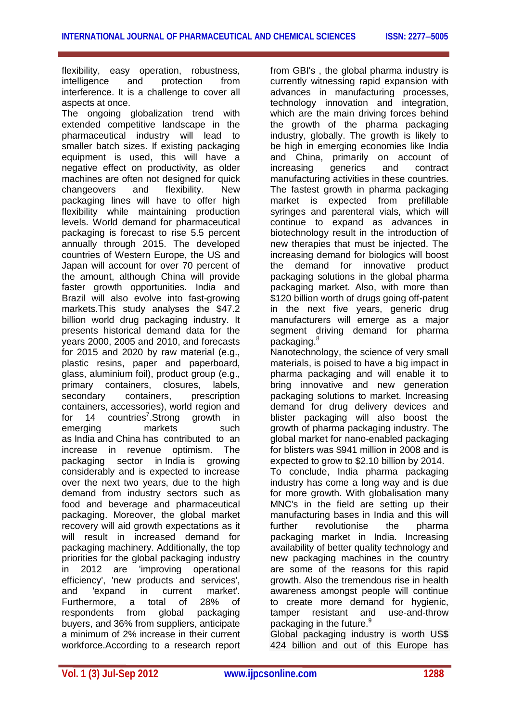flexibility, easy operation, robustness, intelligence and protection from interference. It is a challenge to cover all aspects at once.

The ongoing globalization trend with extended competitive landscape in the pharmaceutical industry will lead to smaller batch sizes. If existing packaging equipment is used, this will have a negative effect on productivity, as older machines are often not designed for quick changeovers and flexibility. New packaging lines will have to offer high flexibility while maintaining production levels. World demand for pharmaceutical packaging is forecast to rise 5.5 percent annually through 2015. The developed countries of Western Europe, the US and Japan will account for over 70 percent of the amount, although China will provide faster growth opportunities. India and Brazil will also evolve into fast-growing markets.This study analyses the \$47.2 billion world drug packaging industry. It presents historical demand data for the years 2000, 2005 and 2010, and forecasts for 2015 and 2020 by raw material (e.g., plastic resins, paper and paperboard, glass, aluminium foil), product group (e.g., primary containers, closures, labels, secondary containers, prescription containers, accessories), world region and for 14 countries<sup>7</sup>.Strong growth in emerging markets such as India and China has contributed to an increase in revenue optimism. The packaging sector in India is growing considerably and is expected to increase over the next two years, due to the high demand from industry sectors such as food and beverage and pharmaceutical packaging. Moreover, the global market recovery will aid growth expectations as it will result in increased demand for packaging machinery. Additionally, the top priorities for the global packaging industry in 2012 are 'improving operational efficiency', 'new products and services', and 'expand in current market'. Furthermore, a total of 28% of respondents from global packaging buyers, and 36% from suppliers, anticipate a minimum of 2% increase in their current workforce.According to a research report

from GBI's , the global pharma industry is currently witnessing rapid expansion with advances in manufacturing processes, technology innovation and integration, which are the main driving forces behind the growth of the pharma packaging industry, globally. The growth is likely to be high in emerging economies like India and China, primarily on account of increasing generics and contract manufacturing activities in these countries. The fastest growth in pharma packaging market is expected from prefillable syringes and parenteral vials, which will continue to expand as advances in biotechnology result in the introduction of new therapies that must be injected. The increasing demand for biologics will boost the demand for innovative product packaging solutions in the global pharma packaging market. Also, with more than \$120 billion worth of drugs going off-patent in the next five years, generic drug manufacturers will emerge as a major segment driving demand for pharma packaging.<sup>8</sup>

Nanotechnology, the science of very small materials, is poised to have a big impact in pharma packaging and will enable it to bring innovative and new generation packaging solutions to market. Increasing demand for drug delivery devices and blister packaging will also boost the growth of pharma packaging industry. The global market for nano-enabled packaging for blisters was \$941 million in 2008 and is expected to grow to \$2.10 billion by 2014.

To conclude, India pharma packaging industry has come a long way and is due for more growth. With globalisation many MNC's in the field are setting up their manufacturing bases in India and this will further revolutionise the pharma packaging market in India. Increasing availability of better quality technology and new packaging machines in the country are some of the reasons for this rapid growth. Also the tremendous rise in health awareness amongst people will continue to create more demand for hygienic, tamper resistant and use-and-throw packaging in the future.<sup>9</sup>

Global packaging industry is worth US\$ 424 billion and out of this Europe has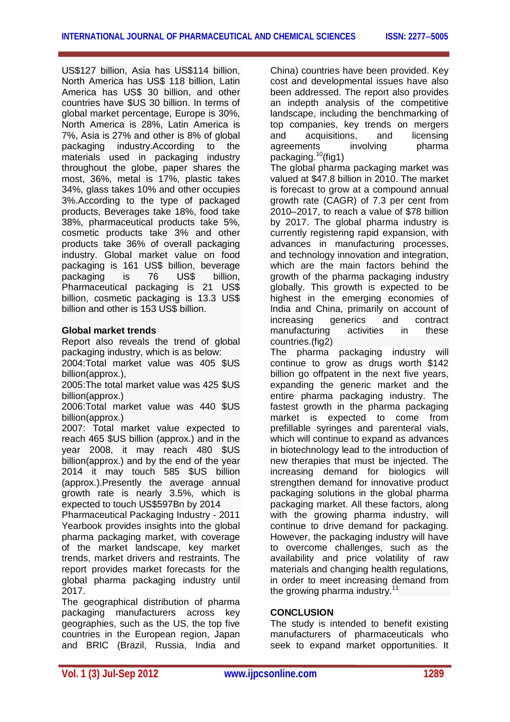US\$127 billion, Asia has US\$114 billion, North America has US\$ 118 billion, Latin America has US\$ 30 billion, and other countries have \$US 30 billion. In terms of global market percentage, Europe is 30%, North America is 28%, Latin America is 7%, Asia is 27% and other is 8% of global packaging industry.According to the materials used in packaging industry throughout the globe, paper shares the most, 36%, metal is 17%, plastic takes 34%, glass takes 10% and other occupies 3%.According to the type of packaged products, Beverages take 18%, food take 38%, pharmaceutical products take 5%, cosmetic products take 3% and other products take 36% of overall packaging industry. Global market value on food packaging is 161 US\$ billion, beverage packaging is 76 US\$ billion, Pharmaceutical packaging is 21 US\$ billion, cosmetic packaging is 13.3 US\$ billion and other is 153 US\$ billion.

## **Global market trends**

Report also reveals the trend of global packaging industry, which is as below:

2004:Total market value was 405 \$US billion(approx.),

2005:The total market value was 425 \$US billion(approx.)

2006:Total market value was 440 \$US billion(approx.)

2007: Total market value expected to reach 465 \$US billion (approx.) and in the year 2008, it may reach 480 \$US billion(approx.) and by the end of the year 2014 it may touch 585 \$US billion (approx.).Presently the average annual growth rate is nearly 3.5%, which is expected to touch US\$597Bn by 2014

Pharmaceutical Packaging Industry - 2011 Yearbook provides insights into the global pharma packaging market, with coverage of the market landscape, key market trends, market drivers and restraints. The report provides market forecasts for the global pharma packaging industry until 2017.

The geographical distribution of pharma packaging manufacturers across key geographies, such as the US, the top five countries in the European region, Japan and BRIC (Brazil, Russia, India and

China) countries have been provided. Key cost and developmental issues have also been addressed. The report also provides an indepth analysis of the competitive landscape, including the benchmarking of top companies, key trends on mergers and acquisitions, and licensing<br>agreements involving bharma agreements involving packaging.<sup>10</sup>(fig1)

The global pharma packaging market was valued at \$47.8 billion in 2010. The market is forecast to grow at a compound annual growth rate (CAGR) of 7.3 per cent from 2010–2017, to reach a value of \$78 billion by 2017. The global pharma industry is currently registering rapid expansion, with advances in manufacturing processes, and technology innovation and integration, which are the main factors behind the growth of the pharma packaging industry globally. This growth is expected to be highest in the emerging economies of India and China, primarily on account of increasing generics and contract manufacturing activities in these countries.(fig2)

The pharma packaging industry will continue to grow as drugs worth \$142 billion go offpatent in the next five years, expanding the generic market and the entire pharma packaging industry. The fastest growth in the pharma packaging market is expected to come from prefillable syringes and parenteral vials, which will continue to expand as advances in biotechnology lead to the introduction of new therapies that must be injected. The increasing demand for biologics will strengthen demand for innovative product packaging solutions in the global pharma packaging market. All these factors, along with the growing pharma industry, will continue to drive demand for packaging. However, the packaging industry will have to overcome challenges, such as the availability and price volatility of raw materials and changing health regulations, in order to meet increasing demand from the growing pharma industry.<sup>11</sup>

## **CONCLUSION**

The study is intended to benefit existing manufacturers of pharmaceuticals who seek to expand market opportunities. It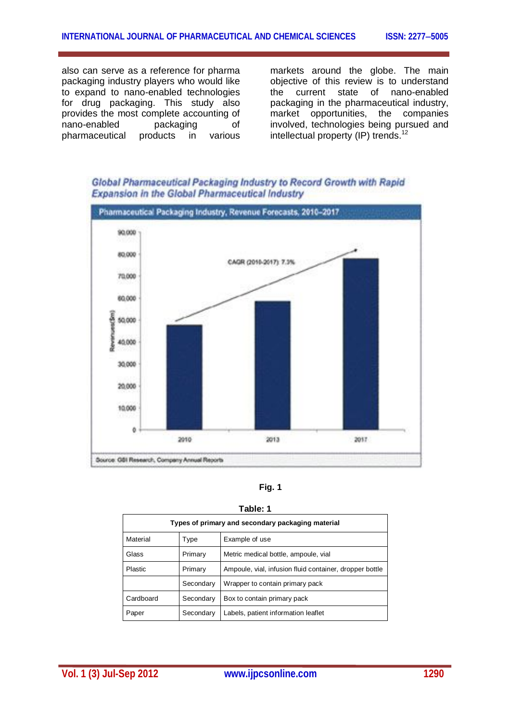also can serve as a reference for pharma packaging industry players who would like to expand to nano-enabled technologies for drug packaging. This study also provides the most complete accounting of nano-enabled packaging of pharmaceutical products in various

markets around the globe. The main objective of this review is to understand the current state of nano-enabled packaging in the pharmaceutical industry, market opportunities, the companies involved, technologies being pursued and intellectual property (IP) trends.<sup>12</sup>



Global Pharmaceutical Packaging Industry to Record Growth with Rapid **Expansion in the Global Pharmaceutical Industry** 

|--|

| Table: 1                                          |           |                                                         |  |
|---------------------------------------------------|-----------|---------------------------------------------------------|--|
| Types of primary and secondary packaging material |           |                                                         |  |
| Material                                          | Type      | Example of use                                          |  |
| Glass                                             | Primary   | Metric medical bottle, ampoule, vial                    |  |
| Plastic                                           | Primary   | Ampoule, vial, infusion fluid container, dropper bottle |  |
|                                                   | Secondary | Wrapper to contain primary pack                         |  |
| Cardboard                                         | Secondary | Box to contain primary pack                             |  |
| Paper                                             | Secondary | Labels, patient information leaflet                     |  |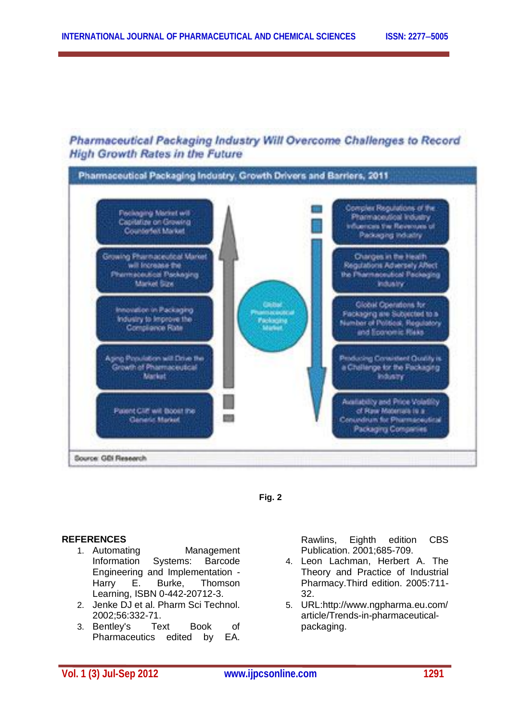## Pharmaceutical Packaging Industry Will Overcome Challenges to Record **High Growth Rates in the Future**





## **REFERENCES**

- 1. Automating Management Information Systems: Barcode Engineering and Implementation - Harry E. Burke, Thomson Learning, ISBN 0-442-20712-3.
- 2. Jenke DJ et al. Pharm Sci Technol. 2002;56:332-71.
- 3. Bentley's Text Book of Pharmaceutics edited by EA.

Rawlins, Eighth edition CBS Publication. 2001;685-709.

- 4. Leon Lachman, Herbert A. The Theory and Practice of Industrial Pharmacy.Third edition. 2005:711- 32.
- 5. URL:http://www.ngpharma.eu.com/ article/Trends-in-pharmaceuticalpackaging.